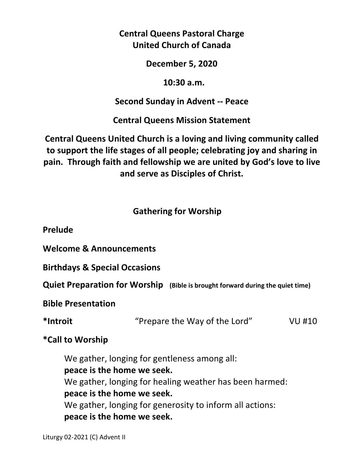**Central Queens Pastoral Charge United Church of Canada** 

**December 5, 2020** 

### **10:30 a.m.**

**Second Sunday in Advent -- Peace** 

**Central Queens Mission Statement** 

**Central Queens United Church is a loving and living community called to support the life stages of all people; celebrating joy and sharing in pain. Through faith and fellowship we are united by God's love to live and serve as Disciples of Christ.**

# **Gathering for Worship**

**Prelude** 

**Welcome & Announcements** 

**Birthdays & Special Occasions** 

**Quiet Preparation for Worship (Bible is brought forward during the quiet time)** 

**Bible Presentation** 

**\*Introit** "Prepare the Way of the Lord" VU #10

## **\*Call to Worship**

We gather, longing for gentleness among all:  **peace is the home we seek.**  We gather, longing for healing weather has been harmed:  **peace is the home we seek.**  We gather, longing for generosity to inform all actions:  **peace is the home we seek.**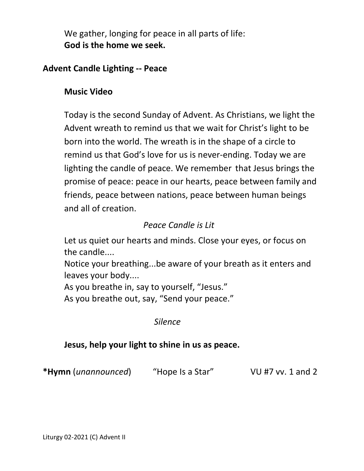We gather, longing for peace in all parts of life:  **God is the home we seek.** 

### **Advent Candle Lighting -- Peace**

### **Music Video**

 Today is the second Sunday of Advent. As Christians, we light the Advent wreath to remind us that we wait for Christ's light to be born into the world. The wreath is in the shape of a circle to remind us that God's love for us is never-ending. Today we are lighting the candle of peace. We remember that Jesus brings the promise of peace: peace in our hearts, peace between family and friends, peace between nations, peace between human beings and all of creation.

# *Peace Candle is Lit*

 Let us quiet our hearts and minds. Close your eyes, or focus on the candle....

 Notice your breathing...be aware of your breath as it enters and leaves your body....

As you breathe in, say to yourself, "Jesus."

As you breathe out, say, "Send your peace."

#### *Silence*

# **Jesus, help your light to shine in us as peace.**

**\*Hymn** (*unannounced*) "Hope Is a Star" VU #7 vv. 1 and 2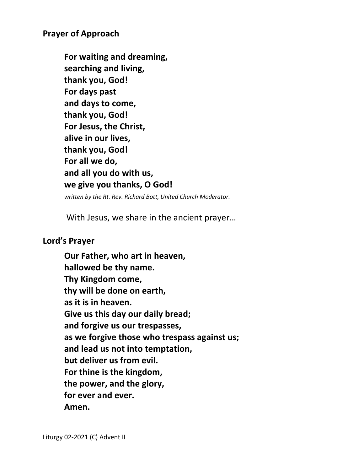### **Prayer of Approach**

 **For waiting and dreaming, searching and living, thank you, God! For days past and days to come, thank you, God! For Jesus, the Christ, alive in our lives, thank you, God! For all we do, and all you do with us, we give you thanks, O God!** 

*written by the Rt. Rev. Richard Bott, United Church Moderator.* 

With Jesus, we share in the ancient prayer…

#### **Lord's Prayer**

**Our Father, who art in heaven, hallowed be thy name. Thy Kingdom come, thy will be done on earth, as it is in heaven. Give us this day our daily bread; and forgive us our trespasses, as we forgive those who trespass against us; and lead us not into temptation, but deliver us from evil. For thine is the kingdom, the power, and the glory, for ever and ever. Amen.**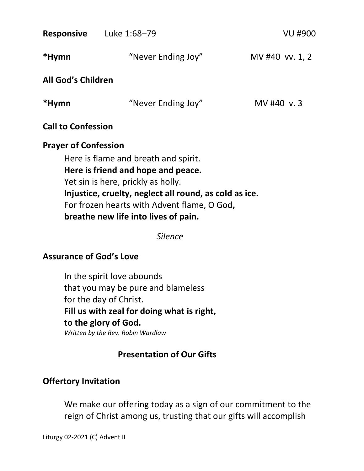| <b>Responsive</b>         | Luke 1:68-79       | <b>VU #900</b>  |  |  |
|---------------------------|--------------------|-----------------|--|--|
| *Hymn                     | "Never Ending Joy" | MV #40 vv. 1, 2 |  |  |
| <b>All God's Children</b> |                    |                 |  |  |
| *Hymn                     | "Never Ending Joy" | MV #40 v.3      |  |  |

## **Call to Confession**

### **Prayer of Confession**

Here is flame and breath and spirit.  **Here is friend and hope and peace.**  Yet sin is here, prickly as holly.  **Injustice, cruelty, neglect all round, as cold as ice.**  For frozen hearts with Advent flame, O God**, breathe new life into lives of pain.** 

 *Silence* 

#### **Assurance of God's Love**

In the spirit love abounds that you may be pure and blameless for the day of Christ. **Fill us with zeal for doing what is right, to the glory of God.**  *Written by the Rev. Robin Wardlaw* 

# **Presentation of Our Gifts**

# **Offertory Invitation**

We make our offering today as a sign of our commitment to the reign of Christ among us, trusting that our gifts will accomplish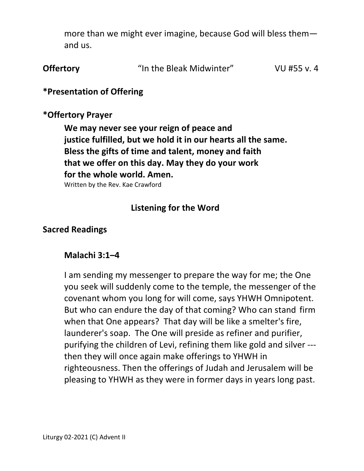more than we might ever imagine, because God will bless them and us.

| <b>Offertory</b> | "In the Bleak Midwinter" | VU #55 v.4 |
|------------------|--------------------------|------------|
|                  |                          |            |

#### **\*Presentation of Offering**

#### **\*Offertory Prayer**

**We may never see your reign of peace and justice fulfilled, but we hold it in our hearts all the same. Bless the gifts of time and talent, money and faith that we offer on this day. May they do your work for the whole world. Amen.** 

Written by the Rev. Kae Crawford

#### **Listening for the Word**

#### **Sacred Readings**

#### **Malachi 3:1–4**

I am sending my messenger to prepare the way for me; the One you seek will suddenly come to the temple, the messenger of the covenant whom you long for will come, says YHWH Omnipotent. But who can endure the day of that coming? Who can stand firm when that One appears? That day will be like a smelter's fire, launderer's soap. The One will preside as refiner and purifier, purifying the children of Levi, refining them like gold and silver -- then they will once again make offerings to YHWH in righteousness. Then the offerings of Judah and Jerusalem will be pleasing to YHWH as they were in former days in years long past.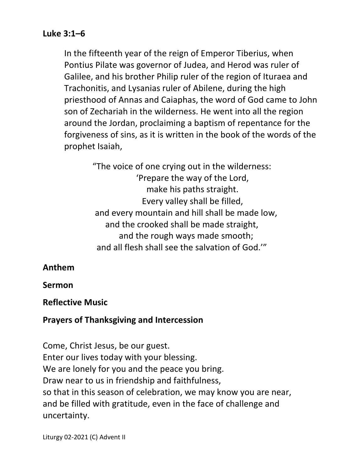## **Luke 3:1–6**

 In the fifteenth year of the reign of Emperor Tiberius, when Pontius Pilate was governor of Judea, and Herod was ruler of Galilee, and his brother Philip ruler of the region of Ituraea and Trachonitis, and Lysanias ruler of Abilene, during the high priesthood of Annas and Caiaphas, the word of God came to John son of Zechariah in the wilderness. He went into all the region around the Jordan, proclaiming a baptism of repentance for the forgiveness of sins, as it is written in the book of the words of the prophet Isaiah,

> "The voice of one crying out in the wilderness: 'Prepare the way of the Lord, make his paths straight. Every valley shall be filled, and every mountain and hill shall be made low, and the crooked shall be made straight, and the rough ways made smooth; and all flesh shall see the salvation of God.'"

**Anthem**

**Sermon** 

**Reflective Music** 

#### **Prayers of Thanksgiving and Intercession**

Come, Christ Jesus, be our guest. Enter our lives today with your blessing. We are lonely for you and the peace you bring. Draw near to us in friendship and faithfulness, so that in this season of celebration, we may know you are near, and be filled with gratitude, even in the face of challenge and uncertainty.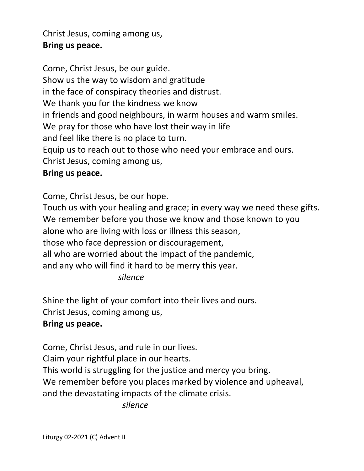Christ Jesus, coming among us, **Bring us peace.** 

Come, Christ Jesus, be our guide. Show us the way to wisdom and gratitude in the face of conspiracy theories and distrust. We thank you for the kindness we know in friends and good neighbours, in warm houses and warm smiles. We pray for those who have lost their way in life and feel like there is no place to turn. Equip us to reach out to those who need your embrace and ours. Christ Jesus, coming among us, **Bring us peace.** 

Come, Christ Jesus, be our hope.

Touch us with your healing and grace; in every way we need these gifts. We remember before you those we know and those known to you alone who are living with loss or illness this season, those who face depression or discouragement, all who are worried about the impact of the pandemic, and any who will find it hard to be merry this year.

 *silence* 

Shine the light of your comfort into their lives and ours. Christ Jesus, coming among us, **Bring us peace.** 

Come, Christ Jesus, and rule in our lives. Claim your rightful place in our hearts. This world is struggling for the justice and mercy you bring. We remember before you places marked by violence and upheaval, and the devastating impacts of the climate crisis.  *silence* 

Liturgy 02-2021 (C) Advent II